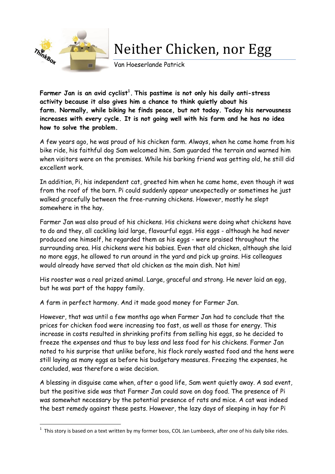

**.** 

## Neither Chicken, nor Egg

Van Hoeserlande Patrick

**Farmer Jan is an avid cyclist<sup>1</sup> . This pastime is not only his daily anti-stress activity because it also gives him a chance to think quietly about his farm. Normally, while biking he finds peace, but not today. Today his nervousness increases with every cycle. It is not going well with his farm and he has no idea how to solve the problem.**

A few years ago, he was proud of his chicken farm. Always, when he came home from his bike ride, his faithful dog Sam welcomed him. Sam guarded the terrain and warned him when visitors were on the premises. While his barking friend was getting old, he still did excellent work.

In addition, Pi, his independent cat, greeted him when he came home, even though it was from the roof of the barn. Pi could suddenly appear unexpectedly or sometimes he just walked gracefully between the free-running chickens. However, mostly he slept somewhere in the hay.

Farmer Jan was also proud of his chickens. His chickens were doing what chickens have to do and they, all cackling laid large, flavourful eggs. His eggs - although he had never produced one himself, he regarded them as his eggs - were praised throughout the surrounding area. His chickens were his babies. Even that old chicken, although she laid no more eggs, he allowed to run around in the yard and pick up grains. His colleagues would already have served that old chicken as the main dish. Not him!

His rooster was a real prized animal. Large, graceful and strong. He never laid an egg, but he was part of the happy family.

A farm in perfect harmony. And it made good money for Farmer Jan.

However, that was until a few months ago when Farmer Jan had to conclude that the prices for chicken food were increasing too fast, as well as those for energy. This increase in costs resulted in shrinking profits from selling his eggs, so he decided to freeze the expenses and thus to buy less and less food for his chickens. Farmer Jan noted to his surprise that unlike before, his flock rarely wasted food and the hens were still laying as many eggs as before his budgetary measures. Freezing the expenses, he concluded, was therefore a wise decision.

A blessing in disguise came when, after a good life, Sam went quietly away. A sad event, but the positive side was that Farmer Jan could save on dog food. The presence of Pi was somewhat necessary by the potential presence of rats and mice. A cat was indeed the best remedy against these pests. However, the lazy days of sleeping in hay for Pi

<sup>1</sup> This story is based on a text written by my former boss, COL Jan Lumbeeck, after one of his daily bike rides.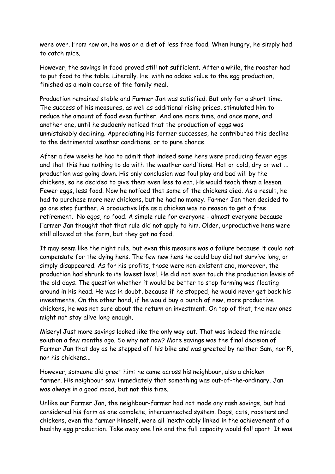were over. From now on, he was on a diet of less free food. When hungry, he simply had to catch mice.

However, the savings in food proved still not sufficient. After a while, the rooster had to put food to the table. Literally. He, with no added value to the egg production, finished as a main course of the family meal.

Production remained stable and Farmer Jan was satisfied. But only for a short time. The success of his measures, as well as additional rising prices, stimulated him to reduce the amount of food even further. And one more time, and once more, and another one, until he suddenly noticed that the production of eggs was unmistakably declining. Appreciating his former successes, he contributed this decline to the detrimental weather conditions, or to pure chance.

After a few weeks he had to admit that indeed some hens were producing fewer eggs and that this had nothing to do with the weather conditions. Hot or cold, dry or wet ... production was going down. His only conclusion was foul play and bad will by the chickens, so he decided to give them even less to eat. He would teach them a lesson. Fewer eggs, less food. Now he noticed that some of the chickens died. As a result, he had to purchase more new chickens, but he had no money. Farmer Jan then decided to go one step further. A productive life as a chicken was no reason to get a free retirement. No eggs, no food. A simple rule for everyone - almost everyone because Farmer Jan thought that that rule did not apply to him. Older, unproductive hens were still allowed at the farm, but they got no food.

It may seem like the right rule, but even this measure was a failure because it could not compensate for the dying hens. The few new hens he could buy did not survive long, or simply disappeared. As for his profits, those were non-existent and, moreover, the production had shrunk to its lowest level. He did not even touch the production levels of the old days. The question whether it would be better to stop farming was floating around in his head. He was in doubt, because if he stopped, he would never get back his investments. On the other hand, if he would buy a bunch of new, more productive chickens, he was not sure about the return on investment. On top of that, the new ones might not stay alive long enough.

Misery! Just more savings looked like the only way out. That was indeed the miracle solution a few months ago. So why not now? More savings was the final decision of Farmer Jan that day as he stepped off his bike and was greeted by neither Sam, nor Pi, nor his chickens...

However, someone did greet him: he came across his neighbour, also a chicken farmer. His neighbour saw immediately that something was out-of-the-ordinary. Jan was always in a good mood, but not this time.

Unlike our Farmer Jan, the neighbour-farmer had not made any rash savings, but had considered his farm as one complete, interconnected system. Dogs, cats, roosters and chickens, even the farmer himself, were all inextricably linked in the achievement of a healthy egg production. Take away one link and the full capacity would fall apart. It was